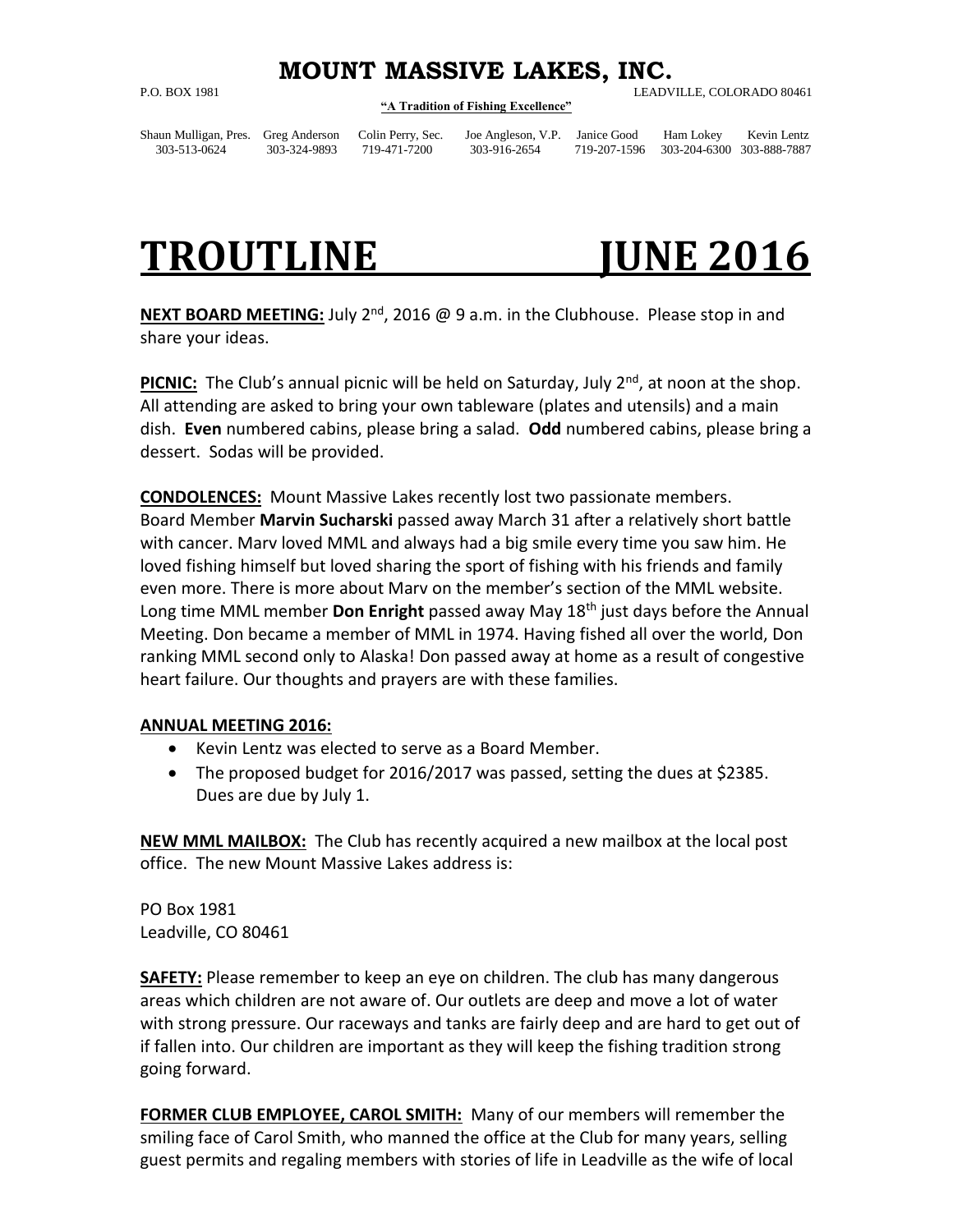## **MOUNT MASSIVE LAKES, INC.**

## **"A Tradition of Fishing Excellence"**

P.O. BOX 1981 LEADVILLE, COLORADO 80461

Shaun Mulligan, Pres. Greg Anderson Colin Perry, Sec. Joe Angleson, V.P. Janice Good Ham Lokey Kevin Lentz

303-513-0624 303-324-9893 719-471-7200 303-916-2654 719-207-1596 303-204-6300 303-888-7887

## **TROUTLINE JUNE 2016**

**NEXT BOARD MEETING:** July 2<sup>nd</sup>, 2016 @ 9 a.m. in the Clubhouse. Please stop in and share your ideas.

**PICNIC:** The Club's annual picnic will be held on Saturday, July 2<sup>nd</sup>, at noon at the shop. All attending are asked to bring your own tableware (plates and utensils) and a main dish. **Even** numbered cabins, please bring a salad. **Odd** numbered cabins, please bring a dessert. Sodas will be provided.

**CONDOLENCES:** Mount Massive Lakes recently lost two passionate members. Board Member **Marvin Sucharski** passed away March 31 after a relatively short battle with cancer. Marv loved MML and always had a big smile every time you saw him. He loved fishing himself but loved sharing the sport of fishing with his friends and family even more. There is more about Marv on the member's section of the MML website. Long time MML member **Don Enright** passed away May 18th just days before the Annual Meeting. Don became a member of MML in 1974. Having fished all over the world, Don ranking MML second only to Alaska! Don passed away at home as a result of congestive heart failure. Our thoughts and prayers are with these families.

## **ANNUAL MEETING 2016:**

- Kevin Lentz was elected to serve as a Board Member.
- The proposed budget for 2016/2017 was passed, setting the dues at \$2385. Dues are due by July 1.

**NEW MML MAILBOX:** The Club has recently acquired a new mailbox at the local post office. The new Mount Massive Lakes address is:

PO Box 1981 Leadville, CO 80461

**SAFETY:** Please remember to keep an eye on children. The club has many dangerous areas which children are not aware of. Our outlets are deep and move a lot of water with strong pressure. Our raceways and tanks are fairly deep and are hard to get out of if fallen into. Our children are important as they will keep the fishing tradition strong going forward.

**FORMER CLUB EMPLOYEE, CAROL SMITH:** Many of our members will remember the smiling face of Carol Smith, who manned the office at the Club for many years, selling guest permits and regaling members with stories of life in Leadville as the wife of local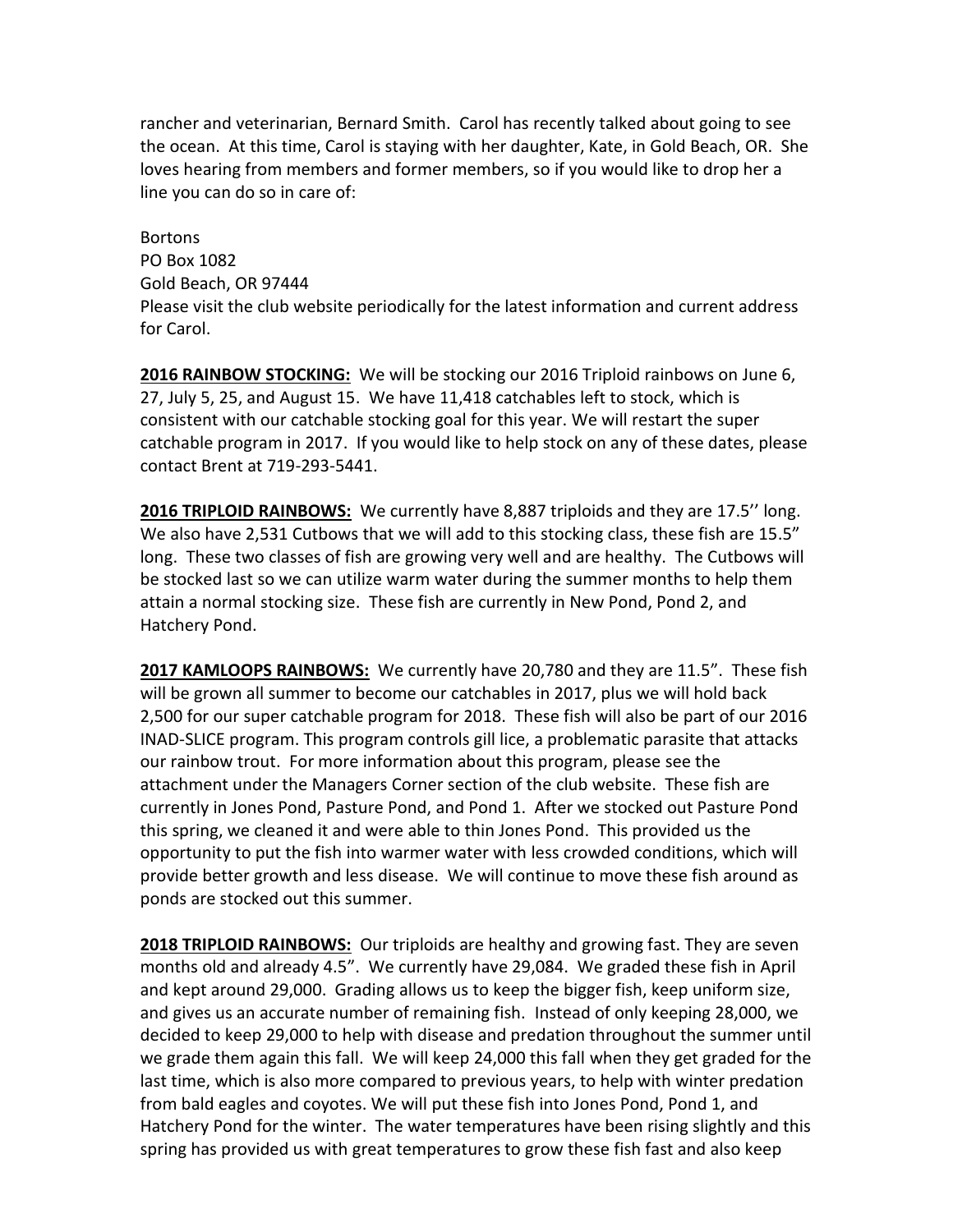rancher and veterinarian, Bernard Smith. Carol has recently talked about going to see the ocean. At this time, Carol is staying with her daughter, Kate, in Gold Beach, OR. She loves hearing from members and former members, so if you would like to drop her a line you can do so in care of:

**Bortons** PO Box 1082 Gold Beach, OR 97444 Please visit the club website periodically for the latest information and current address for Carol.

**2016 RAINBOW STOCKING:** We will be stocking our 2016 Triploid rainbows on June 6, 27, July 5, 25, and August 15. We have 11,418 catchables left to stock, which is consistent with our catchable stocking goal for this year. We will restart the super catchable program in 2017. If you would like to help stock on any of these dates, please contact Brent at 719-293-5441.

**2016 TRIPLOID RAINBOWS:** We currently have 8,887 triploids and they are 17.5'' long. We also have 2,531 Cutbows that we will add to this stocking class, these fish are 15.5" long. These two classes of fish are growing very well and are healthy. The Cutbows will be stocked last so we can utilize warm water during the summer months to help them attain a normal stocking size. These fish are currently in New Pond, Pond 2, and Hatchery Pond.

**2017 KAMLOOPS RAINBOWS:** We currently have 20,780 and they are 11.5". These fish will be grown all summer to become our catchables in 2017, plus we will hold back 2,500 for our super catchable program for 2018. These fish will also be part of our 2016 INAD-SLICE program. This program controls gill lice, a problematic parasite that attacks our rainbow trout. For more information about this program, please see the attachment under the Managers Corner section of the club website. These fish are currently in Jones Pond, Pasture Pond, and Pond 1. After we stocked out Pasture Pond this spring, we cleaned it and were able to thin Jones Pond. This provided us the opportunity to put the fish into warmer water with less crowded conditions, which will provide better growth and less disease. We will continue to move these fish around as ponds are stocked out this summer.

**2018 TRIPLOID RAINBOWS:** Our triploids are healthy and growing fast. They are seven months old and already 4.5". We currently have 29,084. We graded these fish in April and kept around 29,000. Grading allows us to keep the bigger fish, keep uniform size, and gives us an accurate number of remaining fish. Instead of only keeping 28,000, we decided to keep 29,000 to help with disease and predation throughout the summer until we grade them again this fall. We will keep 24,000 this fall when they get graded for the last time, which is also more compared to previous years, to help with winter predation from bald eagles and coyotes. We will put these fish into Jones Pond, Pond 1, and Hatchery Pond for the winter. The water temperatures have been rising slightly and this spring has provided us with great temperatures to grow these fish fast and also keep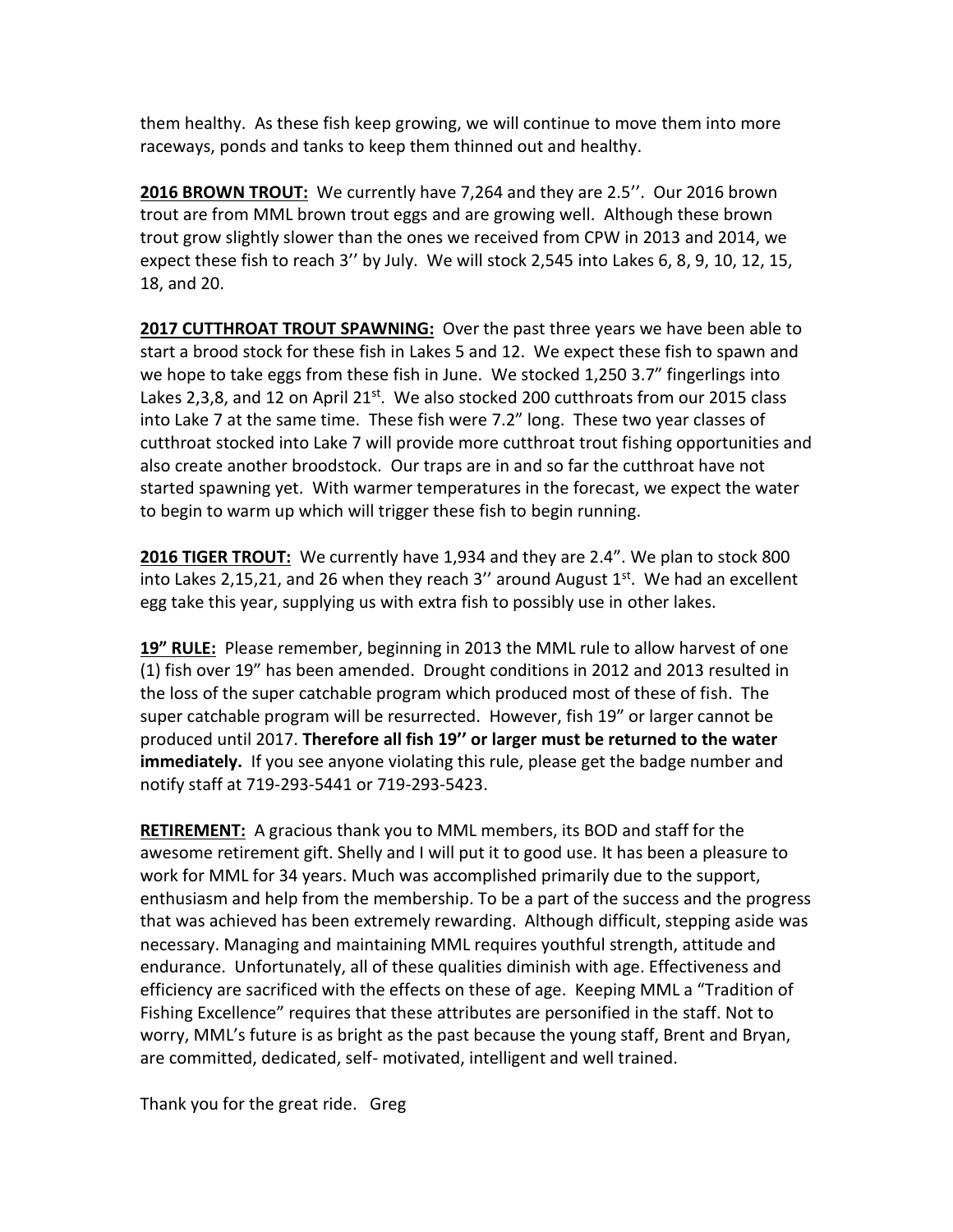them healthy. As these fish keep growing, we will continue to move them into more raceways, ponds and tanks to keep them thinned out and healthy.

**2016 BROWN TROUT:** We currently have 7,264 and they are 2.5''. Our 2016 brown trout are from MML brown trout eggs and are growing well. Although these brown trout grow slightly slower than the ones we received from CPW in 2013 and 2014, we expect these fish to reach 3'' by July. We will stock 2,545 into Lakes 6, 8, 9, 10, 12, 15, 18, and 20.

**2017 CUTTHROAT TROUT SPAWNING:** Over the past three years we have been able to start a brood stock for these fish in Lakes 5 and 12. We expect these fish to spawn and we hope to take eggs from these fish in June. We stocked 1,250 3.7" fingerlings into Lakes 2,3,8, and 12 on April 21<sup>st</sup>. We also stocked 200 cutthroats from our 2015 class into Lake 7 at the same time. These fish were 7.2" long. These two year classes of cutthroat stocked into Lake 7 will provide more cutthroat trout fishing opportunities and also create another broodstock. Our traps are in and so far the cutthroat have not started spawning yet. With warmer temperatures in the forecast, we expect the water to begin to warm up which will trigger these fish to begin running.

**2016 TIGER TROUT:** We currently have 1,934 and they are 2.4". We plan to stock 800 into Lakes 2,15,21, and 26 when they reach 3" around August  $1<sup>st</sup>$ . We had an excellent egg take this year, supplying us with extra fish to possibly use in other lakes.

**19" RULE:** Please remember, beginning in 2013 the MML rule to allow harvest of one (1) fish over 19" has been amended. Drought conditions in 2012 and 2013 resulted in the loss of the super catchable program which produced most of these of fish. The super catchable program will be resurrected. However, fish 19" or larger cannot be produced until 2017. **Therefore all fish 19'' or larger must be returned to the water immediately.** If you see anyone violating this rule, please get the badge number and notify staff at 719-293-5441 or 719-293-5423.

**RETIREMENT:** A gracious thank you to MML members, its BOD and staff for the awesome retirement gift. Shelly and I will put it to good use. It has been a pleasure to work for MML for 34 years. Much was accomplished primarily due to the support, enthusiasm and help from the membership. To be a part of the success and the progress that was achieved has been extremely rewarding. Although difficult, stepping aside was necessary. Managing and maintaining MML requires youthful strength, attitude and endurance. Unfortunately, all of these qualities diminish with age. Effectiveness and efficiency are sacrificed with the effects on these of age. Keeping MML a "Tradition of Fishing Excellence" requires that these attributes are personified in the staff. Not to worry, MML's future is as bright as the past because the young staff, Brent and Bryan, are committed, dedicated, self- motivated, intelligent and well trained.

Thank you for the great ride. Greg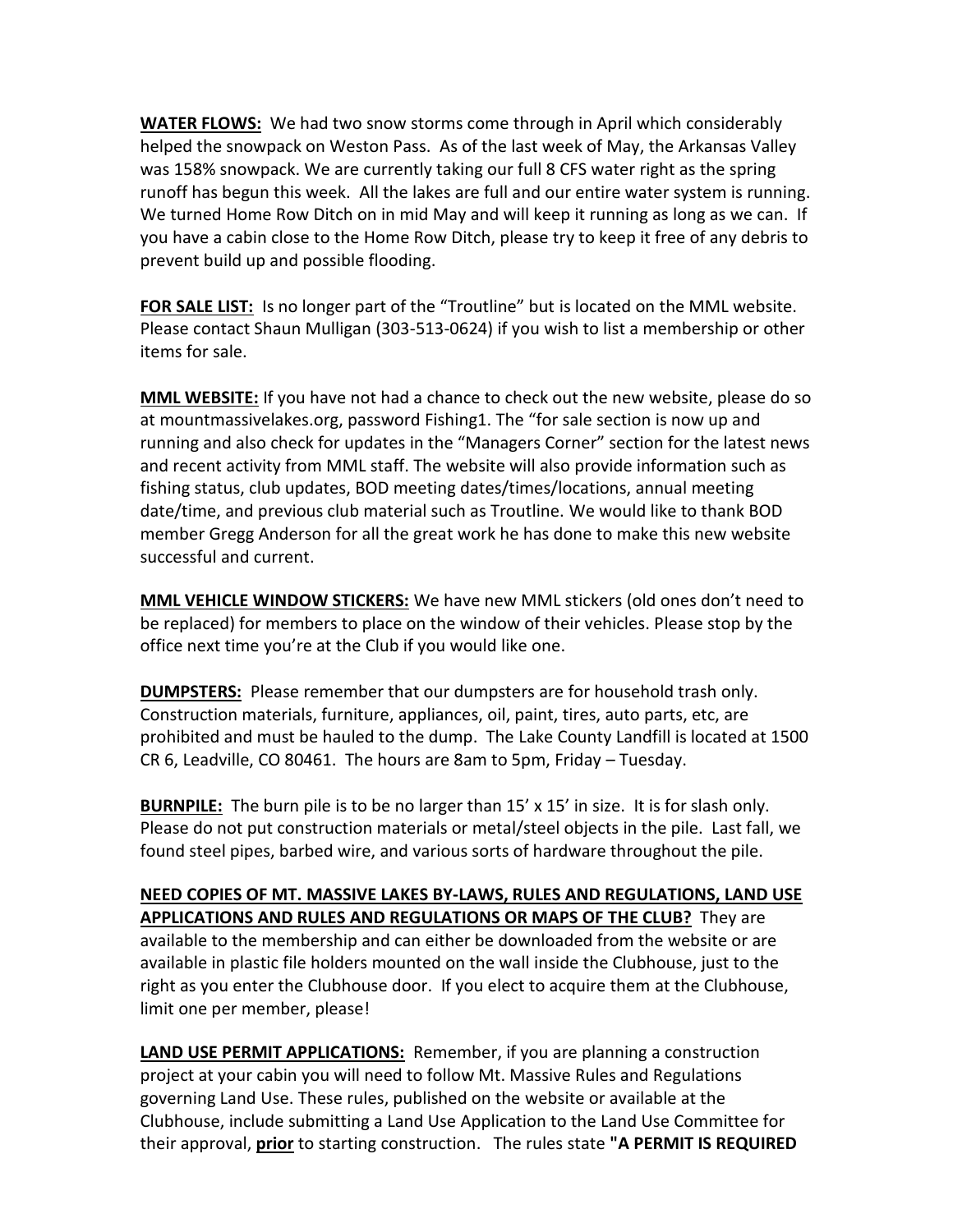**WATER FLOWS:** We had two snow storms come through in April which considerably helped the snowpack on Weston Pass. As of the last week of May, the Arkansas Valley was 158% snowpack. We are currently taking our full 8 CFS water right as the spring runoff has begun this week. All the lakes are full and our entire water system is running. We turned Home Row Ditch on in mid May and will keep it running as long as we can. If you have a cabin close to the Home Row Ditch, please try to keep it free of any debris to prevent build up and possible flooding.

**FOR SALE LIST:** Is no longer part of the "Troutline" but is located on the MML website. Please contact Shaun Mulligan (303-513-0624) if you wish to list a membership or other items for sale.

**MML WEBSITE:** If you have not had a chance to check out the new website, please do so at mountmassivelakes.org, password Fishing1. The "for sale section is now up and running and also check for updates in the "Managers Corner" section for the latest news and recent activity from MML staff. The website will also provide information such as fishing status, club updates, BOD meeting dates/times/locations, annual meeting date/time, and previous club material such as Troutline. We would like to thank BOD member Gregg Anderson for all the great work he has done to make this new website successful and current.

**MML VEHICLE WINDOW STICKERS:** We have new MML stickers (old ones don't need to be replaced) for members to place on the window of their vehicles. Please stop by the office next time you're at the Club if you would like one.

**DUMPSTERS:** Please remember that our dumpsters are for household trash only. Construction materials, furniture, appliances, oil, paint, tires, auto parts, etc, are prohibited and must be hauled to the dump. The Lake County Landfill is located at 1500 CR 6, Leadville, CO 80461. The hours are 8am to 5pm, Friday – Tuesday.

**BURNPILE:** The burn pile is to be no larger than 15' x 15' in size. It is for slash only. Please do not put construction materials or metal/steel objects in the pile. Last fall, we found steel pipes, barbed wire, and various sorts of hardware throughout the pile.

**NEED COPIES OF MT. MASSIVE LAKES BY-LAWS, RULES AND REGULATIONS, LAND USE APPLICATIONS AND RULES AND REGULATIONS OR MAPS OF THE CLUB?** They are available to the membership and can either be downloaded from the website or are available in plastic file holders mounted on the wall inside the Clubhouse, just to the right as you enter the Clubhouse door. If you elect to acquire them at the Clubhouse, limit one per member, please!

**LAND USE PERMIT APPLICATIONS:** Remember, if you are planning a construction project at your cabin you will need to follow Mt. Massive Rules and Regulations governing Land Use. These rules, published on the website or available at the Clubhouse, include submitting a Land Use Application to the Land Use Committee for their approval, **prior** to starting construction. The rules state **"A PERMIT IS REQUIRED**